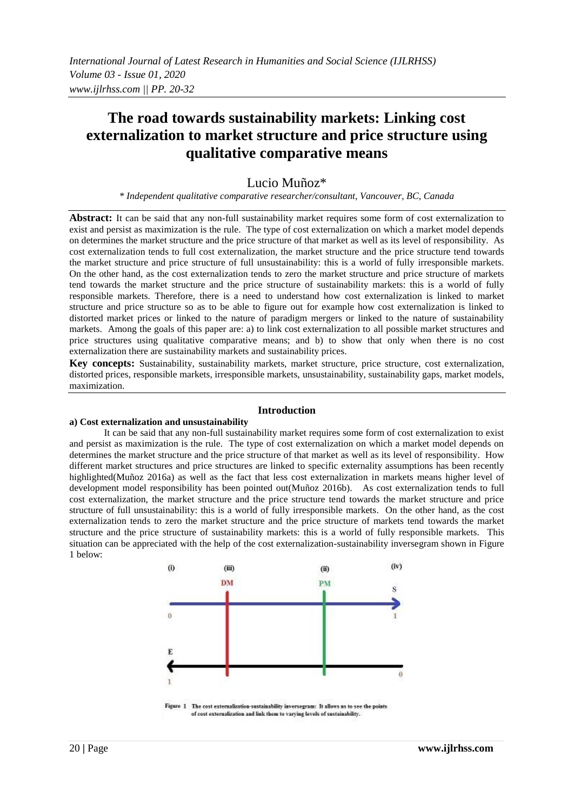# **The road towards sustainability markets: Linking cost externalization to market structure and price structure using qualitative comparative means**

## Lucio Muñoz\*

*\* Independent qualitative comparative researcher/consultant, Vancouver, BC, Canada*

Abstract: It can be said that any non-full sustainability market requires some form of cost externalization to exist and persist as maximization is the rule. The type of cost externalization on which a market model depends on determines the market structure and the price structure of that market as well as its level of responsibility. As cost externalization tends to full cost externalization, the market structure and the price structure tend towards the market structure and price structure of full unsustainability: this is a world of fully irresponsible markets. On the other hand, as the cost externalization tends to zero the market structure and price structure of markets tend towards the market structure and the price structure of sustainability markets: this is a world of fully responsible markets. Therefore, there is a need to understand how cost externalization is linked to market structure and price structure so as to be able to figure out for example how cost externalization is linked to distorted market prices or linked to the nature of paradigm mergers or linked to the nature of sustainability markets. Among the goals of this paper are: a) to link cost externalization to all possible market structures and price structures using qualitative comparative means; and b) to show that only when there is no cost externalization there are sustainability markets and sustainability prices.

**Key concepts:** Sustainability, sustainability markets, market structure, price structure, cost externalization, distorted prices, responsible markets, irresponsible markets, unsustainability, sustainability gaps, market models, maximization.

#### **Introduction**

#### **a) Cost externalization and unsustainability**

It can be said that any non-full sustainability market requires some form of cost externalization to exist and persist as maximization is the rule. The type of cost externalization on which a market model depends on determines the market structure and the price structure of that market as well as its level of responsibility. How different market structures and price structures are linked to specific externality assumptions has been recently highlighted(Muñoz 2016a) as well as the fact that less cost externalization in markets means higher level of development model responsibility has been pointed out(Muñoz 2016b). As cost externalization tends to full cost externalization, the market structure and the price structure tend towards the market structure and price structure of full unsustainability: this is a world of fully irresponsible markets. On the other hand, as the cost externalization tends to zero the market structure and the price structure of markets tend towards the market structure and the price structure of sustainability markets: this is a world of fully responsible markets. This situation can be appreciated with the help of the cost externalization-sustainability inversegram shown in Figure 1 below:



Figure 1 The cost externalization-sustainability inversegram: It allows us to see the points of cost externalization and link them to varying levels of sustainability.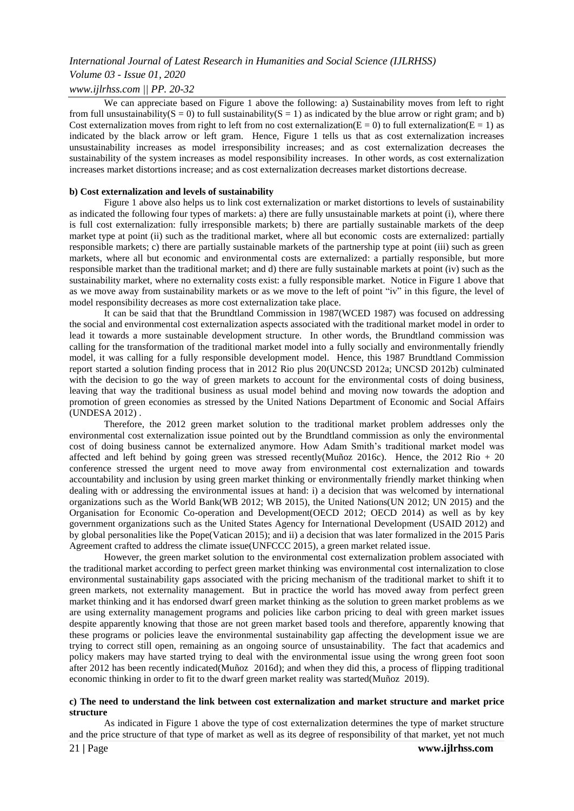# *Volume 03 - Issue 01, 2020*

## *www.ijlrhss.com || PP. 20-32*

We can appreciate based on Figure 1 above the following: a) Sustainability moves from left to right from full unsustainability( $S = 0$ ) to full sustainability( $S = 1$ ) as indicated by the blue arrow or right gram; and b) Cost externalization moves from right to left from no cost externalization( $\vec{E} = 0$ ) to full externalization( $\vec{E} = 1$ ) as indicated by the black arrow or left gram. Hence, Figure 1 tells us that as cost externalization increases unsustainability increases as model irresponsibility increases; and as cost externalization decreases the sustainability of the system increases as model responsibility increases. In other words, as cost externalization increases market distortions increase; and as cost externalization decreases market distortions decrease.

#### **b) Cost externalization and levels of sustainability**

Figure 1 above also helps us to link cost externalization or market distortions to levels of sustainability as indicated the following four types of markets: a) there are fully unsustainable markets at point (i), where there is full cost externalization: fully irresponsible markets; b) there are partially sustainable markets of the deep market type at point (ii) such as the traditional market, where all but economic costs are externalized: partially responsible markets; c) there are partially sustainable markets of the partnership type at point (iii) such as green markets, where all but economic and environmental costs are externalized: a partially responsible, but more responsible market than the traditional market; and d) there are fully sustainable markets at point (iv) such as the sustainability market, where no externality costs exist: a fully responsible market. Notice in Figure 1 above that as we move away from sustainability markets or as we move to the left of point "iv" in this figure, the level of model responsibility decreases as more cost externalization take place.

It can be said that that the Brundtland Commission in 1987(WCED 1987) was focused on addressing the social and environmental cost externalization aspects associated with the traditional market model in order to lead it towards a more sustainable development structure. In other words, the Brundtland commission was calling for the transformation of the traditional market model into a fully socially and environmentally friendly model, it was calling for a fully responsible development model. Hence, this 1987 Brundtland Commission report started a solution finding process that in 2012 Rio plus 20(UNCSD 2012a; UNCSD 2012b) culminated with the decision to go the way of green markets to account for the environmental costs of doing business, leaving that way the traditional business as usual model behind and moving now towards the adoption and promotion of green economies as stressed by the United Nations Department of Economic and Social Affairs (UNDESA 2012) .

Therefore, the 2012 green market solution to the traditional market problem addresses only the environmental cost externalization issue pointed out by the Brundtland commission as only the environmental cost of doing business cannot be externalized anymore. How Adam Smith's traditional market model was affected and left behind by going green was stressed recently(Muñoz 2016c). Hence, the 2012 Rio + 20 conference stressed the urgent need to move away from environmental cost externalization and towards accountability and inclusion by using green market thinking or environmentally friendly market thinking when dealing with or addressing the environmental issues at hand: i) a decision that was welcomed by international organizations such as the World Bank(WB 2012; WB 2015), the United Nations(UN 2012; UN 2015) and the Organisation for Economic Co-operation and Development(OECD 2012; OECD 2014) as well as by key government organizations such as the United States Agency for International Development (USAID 2012) and by global personalities like the Pope(Vatican 2015); and ii) a decision that was later formalized in the 2015 Paris Agreement crafted to address the climate issue(UNFCCC 2015), a green market related issue.

However, the green market solution to the environmental cost externalization problem associated with the traditional market according to perfect green market thinking was environmental cost internalization to close environmental sustainability gaps associated with the pricing mechanism of the traditional market to shift it to green markets, not externality management. But in practice the world has moved away from perfect green market thinking and it has endorsed dwarf green market thinking as the solution to green market problems as we are using externality management programs and policies like carbon pricing to deal with green market issues despite apparently knowing that those are not green market based tools and therefore, apparently knowing that these programs or policies leave the environmental sustainability gap affecting the development issue we are trying to correct still open, remaining as an ongoing source of unsustainability. The fact that academics and policy makers may have started trying to deal with the environmental issue using the wrong green foot soon after 2012 has been recently indicated(Muñoz 2016d); and when they did this, a process of flipping traditional economic thinking in order to fit to the dwarf green market reality was started(Muñoz 2019).

#### **c) The need to understand the link between cost externalization and market structure and market price structure**

As indicated in Figure 1 above the type of cost externalization determines the type of market structure and the price structure of that type of market as well as its degree of responsibility of that market, yet not much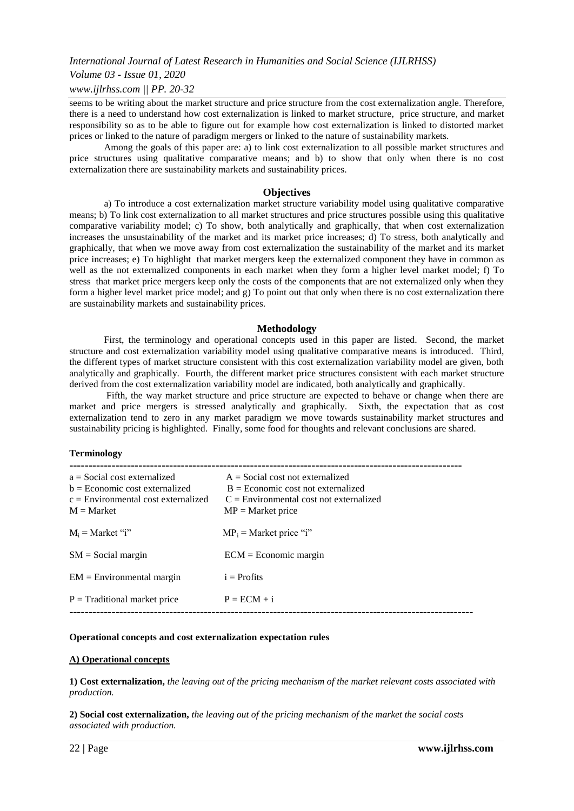#### *Volume 03 - Issue 01, 2020*

#### *www.ijlrhss.com || PP. 20-32*

seems to be writing about the market structure and price structure from the cost externalization angle. Therefore, there is a need to understand how cost externalization is linked to market structure, price structure, and market responsibility so as to be able to figure out for example how cost externalization is linked to distorted market prices or linked to the nature of paradigm mergers or linked to the nature of sustainability markets.

Among the goals of this paper are: a) to link cost externalization to all possible market structures and price structures using qualitative comparative means; and b) to show that only when there is no cost externalization there are sustainability markets and sustainability prices.

#### **Objectives**

a) To introduce a cost externalization market structure variability model using qualitative comparative means; b) To link cost externalization to all market structures and price structures possible using this qualitative comparative variability model; c) To show, both analytically and graphically, that when cost externalization increases the unsustainability of the market and its market price increases; d) To stress, both analytically and graphically, that when we move away from cost externalization the sustainability of the market and its market price increases; e) To highlight that market mergers keep the externalized component they have in common as well as the not externalized components in each market when they form a higher level market model; f) To stress that market price mergers keep only the costs of the components that are not externalized only when they form a higher level market price model; and g) To point out that only when there is no cost externalization there are sustainability markets and sustainability prices.

#### **Methodology**

First, the terminology and operational concepts used in this paper are listed. Second, the market structure and cost externalization variability model using qualitative comparative means is introduced. Third, the different types of market structure consistent with this cost externalization variability model are given, both analytically and graphically. Fourth, the different market price structures consistent with each market structure derived from the cost externalization variability model are indicated, both analytically and graphically.

Fifth, the way market structure and price structure are expected to behave or change when there are market and price mergers is stressed analytically and graphically. Sixth, the expectation that as cost externalization tend to zero in any market paradigm we move towards sustainability market structures and sustainability pricing is highlighted. Finally, some food for thoughts and relevant conclusions are shared.

#### **Terminology**

| $a = Social cost externalized$<br>$b = E$ conomic cost externalized<br>$c =$ Environmental cost externalized<br>$M = Market$ | $A = Social cost not externalized$<br>$B = E$ conomic cost not externalized<br>$C =$ Environmental cost not externalized<br>$MP = Market price$ |
|------------------------------------------------------------------------------------------------------------------------------|-------------------------------------------------------------------------------------------------------------------------------------------------|
| $M_i$ = Market "i"                                                                                                           | $MP_i$ = Market price "i"                                                                                                                       |
| $SM = Social margin$                                                                                                         | $ECM = Economic margin$                                                                                                                         |
| $EM = Environmental margin$                                                                                                  | $i =$ Profits                                                                                                                                   |
| $P =$ Traditional market price                                                                                               | $P = ECM + i$                                                                                                                                   |
|                                                                                                                              |                                                                                                                                                 |

#### **Operational concepts and cost externalization expectation rules**

#### **A) Operational concepts**

**1) Cost externalization,** *the leaving out of the pricing mechanism of the market relevant costs associated with production.*

**2) Social cost externalization,** *the leaving out of the pricing mechanism of the market the social costs associated with production.*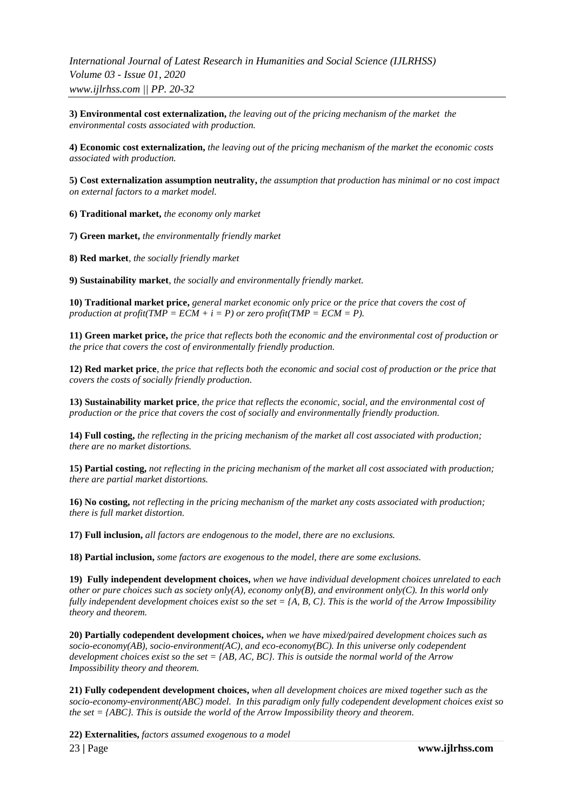**3) Environmental cost externalization,** *the leaving out of the pricing mechanism of the market the environmental costs associated with production.*

**4) Economic cost externalization,** *the leaving out of the pricing mechanism of the market the economic costs associated with production.*

**5) Cost externalization assumption neutrality,** *the assumption that production has minimal or no cost impact on external factors to a market model.*

**6) Traditional market,** *the economy only market* 

**7) Green market,** *the environmentally friendly market* 

**8) Red market***, the socially friendly market*

**9) Sustainability market**, *the socially and environmentally friendly market.*

**10) Traditional market price,** *general market economic only price or the price that covers the cost of production at profit(TMP = ECM + i = P) or zero profit(TMP = ECM = P).* 

**11) Green market price,** *the price that reflects both the economic and the environmental cost of production or the price that covers the cost of environmentally friendly production.*

**12) Red market price***, the price that reflects both the economic and social cost of production or the price that covers the costs of socially friendly production.*

**13) Sustainability market price**, *the price that reflects the economic, social, and the environmental cost of production or the price that covers the cost of socially and environmentally friendly production.*

**14) Full costing,** *the reflecting in the pricing mechanism of the market all cost associated with production; there are no market distortions.*

**15) Partial costing,** *not reflecting in the pricing mechanism of the market all cost associated with production; there are partial market distortions.*

**16) No costing,** *not reflecting in the pricing mechanism of the market any costs associated with production; there is full market distortion.*

**17) Full inclusion,** *all factors are endogenous to the model, there are no exclusions.*

**18) Partial inclusion,** *some factors are exogenous to the model, there are some exclusions.*

**19) Fully independent development choices,** *when we have individual development choices unrelated to each other or pure choices such as society only(A), economy only(B), and environment only(C). In this world only fully independent development choices exist so the set = {A, B, C}. This is the world of the Arrow Impossibility theory and theorem.* 

**20) Partially codependent development choices,** *when we have mixed/paired development choices such as socio-economy(AB), socio-environment(AC), and eco-economy(BC). In this universe only codependent development choices exist so the set = {AB, AC, BC}. This is outside the normal world of the Arrow Impossibility theory and theorem.* 

**21) Fully codependent development choices,** *when all development choices are mixed together such as the socio-economy-environment(ABC) model. In this paradigm only fully codependent development choices exist so the set = {ABC}. This is outside the world of the Arrow Impossibility theory and theorem.*

**22) Externalities,** *factors assumed exogenous to a model*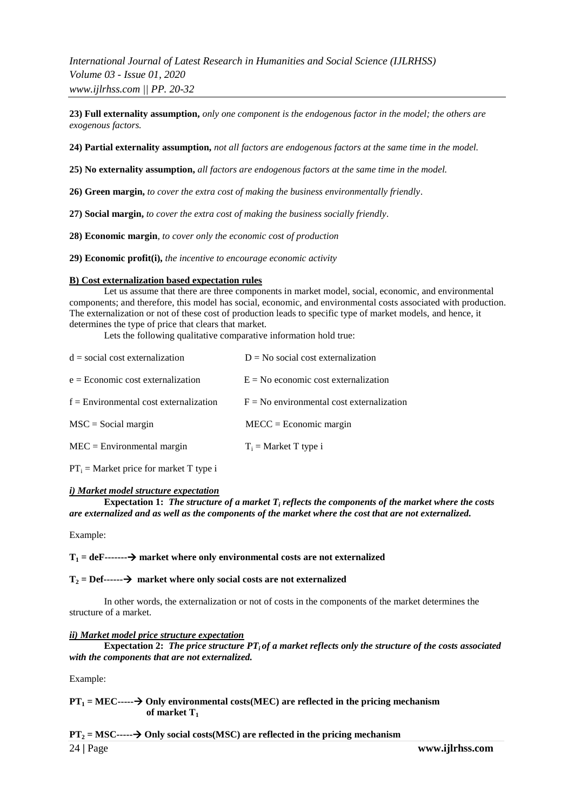**23) Full externality assumption,** *only one component is the endogenous factor in the model; the others are exogenous factors.* 

**24) Partial externality assumption,** *not all factors are endogenous factors at the same time in the model.* 

**25) No externality assumption,** *all factors are endogenous factors at the same time in the model.* 

**26) Green margin,** *to cover the extra cost of making the business environmentally friendly*.

**27) Social margin,** *to cover the extra cost of making the business socially friendly.*

**28) Economic margin***, to cover only the economic cost of production* 

**29) Economic profit(i),** *the incentive to encourage economic activity*

#### **B) Cost externalization based expectation rules**

Let us assume that there are three components in market model, social, economic, and environmental components; and therefore, this model has social, economic, and environmental costs associated with production. The externalization or not of these cost of production leads to specific type of market models, and hence, it determines the type of price that clears that market.

Lets the following qualitative comparative information hold true:

| $d = social cost externalization$        | $D = No$ social cost externalization        |  |
|------------------------------------------|---------------------------------------------|--|
| $e = E$ conomic cost externalization     | $E = No$ economic cost externalization      |  |
| $f =$ Environmental cost externalization | $F = No$ environmental cost externalization |  |
| $MSC = Social margin$                    | $MECC = Economic margin$                    |  |
| $MEC = Environmental margin$             | $T_i$ = Market T type i                     |  |
|                                          |                                             |  |

 $PT_i =$  Market price for market T type i

#### *i) Market model structure expectation*

**Expectation 1:** *The structure of a market T<sup>i</sup> reflects the components of the market where the costs are externalized and as well as the components of the market where the cost that are not externalized.*

Example:

#### $T_1 = \text{def}$ ------- $\rightarrow$  market where only environmental costs are not externalized

#### $T_2 = Def$ ------ $\rightarrow$  market where only social costs are not externalized

In other words, the externalization or not of costs in the components of the market determines the structure of a market.

#### *ii) Market model price structure expectation*

**Expectation 2:** The price structure  $PT_i$  of a market reflects only the structure of the costs associated *with the components that are not externalized.*

Example:

#### $PT_1 = MEC$ ----- $\rightarrow$  Only environmental costs(MEC) are reflected in the pricing mechanism  **of market T<sup>1</sup>**

#### $PT_2 = MSC$ —— $\rightarrow$  Only social costs(MSC) are reflected in the pricing mechanism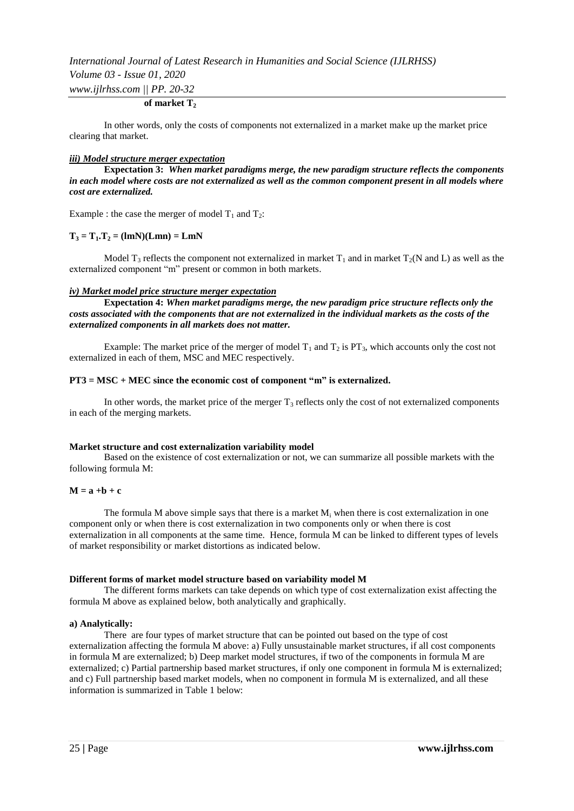## **of market T<sup>2</sup>**

In other words, only the costs of components not externalized in a market make up the market price clearing that market.

#### *iii) Model structure merger expectation*

**Expectation 3:** *When market paradigms merge, the new paradigm structure reflects the components in each model where costs are not externalized as well as the common component present in all models where cost are externalized.*

Example : the case the merger of model  $T_1$  and  $T_2$ :

#### $T_3 = T_1 \cdot T_2 = (lmN)(Lmn) = LmN$

Model T<sub>3</sub> reflects the component not externalized in market T<sub>1</sub> and in market T<sub>2</sub>(N and L) as well as the externalized component "m" present or common in both markets.

#### *iv) Market model price structure merger expectation*

**Expectation 4:** *When market paradigms merge, the new paradigm price structure reflects only the costs associated with the components that are not externalized in the individual markets as the costs of the externalized components in all markets does not matter.*

Example: The market price of the merger of model  $T_1$  and  $T_2$  is PT<sub>3</sub>, which accounts only the cost not externalized in each of them, MSC and MEC respectively.

#### **PT3 = MSC + MEC since the economic cost of component "m" is externalized.**

In other words, the market price of the merger  $T_3$  reflects only the cost of not externalized components in each of the merging markets.

#### **Market structure and cost externalization variability model**

Based on the existence of cost externalization or not, we can summarize all possible markets with the following formula M:

### $M = a + b + c$

The formula M above simple says that there is a market  $M_i$  when there is cost externalization in one component only or when there is cost externalization in two components only or when there is cost externalization in all components at the same time. Hence, formula M can be linked to different types of levels of market responsibility or market distortions as indicated below.

#### **Different forms of market model structure based on variability model M**

The different forms markets can take depends on which type of cost externalization exist affecting the formula M above as explained below, both analytically and graphically.

#### **a) Analytically:**

There are four types of market structure that can be pointed out based on the type of cost externalization affecting the formula M above: a) Fully unsustainable market structures, if all cost components in formula M are externalized; b) Deep market model structures, if two of the components in formula M are externalized; c) Partial partnership based market structures, if only one component in formula M is externalized; and c) Full partnership based market models, when no component in formula M is externalized, and all these information is summarized in Table 1 below: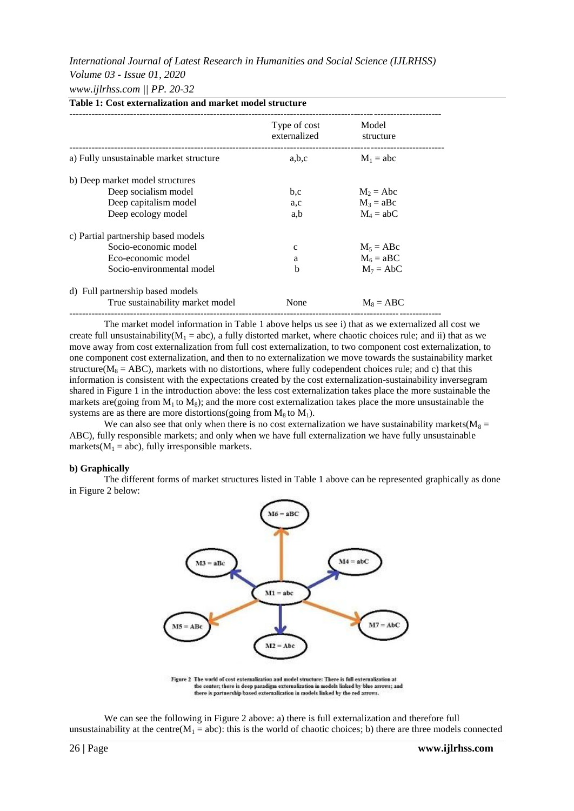# *International Journal of Latest Research in Humanities and Social Science (IJLRHSS) Volume 03 - Issue 01, 2020*

## *www.ijlrhss.com || PP. 20-32*

|                                         | Type of cost<br>externalized | Model<br>structure |
|-----------------------------------------|------------------------------|--------------------|
| a) Fully unsustainable market structure | a,b,c                        | $M_1 = abc$        |
| b) Deep market model structures         |                              |                    |
| Deep socialism model                    | b,c                          | $M_2 = Abc$        |
| Deep capitalism model                   | a,c                          | $M_3 = aBc$        |
| Deep ecology model                      | a,b                          | $M_4 = abC$        |
| c) Partial partnership based models     |                              |                    |
| Socio-economic model                    | $\mathbf{C}$                 | $M_5 = ABC$        |
| Eco-economic model                      | a                            | $M_6 = aBC$        |
| Socio-environmental model               | b                            | $M_7 = AbC$        |
| d) Full partnership based models        |                              |                    |
| True sustainability market model        | None                         | $M_8 = ABC$        |

The market model information in Table 1 above helps us see i) that as we externalized all cost we create full unsustainability( $M_1$  = abc), a fully distorted market, where chaotic choices rule; and ii) that as we move away from cost externalization from full cost externalization, to two component cost externalization, to one component cost externalization, and then to no externalization we move towards the sustainability market structure( $M_8 = ABC$ ), markets with no distortions, where fully codependent choices rule; and c) that this information is consistent with the expectations created by the cost externalization-sustainability inversegram shared in Figure 1 in the introduction above: the less cost externalization takes place the more sustainable the markets are(going from  $M_1$  to  $M_8$ ); and the more cost externalization takes place the more unsustainable the systems are as there are more distortions(going from  $M_8$  to  $M_1$ ).

We can also see that only when there is no cost externalization we have sustainability markets( $M_8$  = ABC), fully responsible markets; and only when we have full externalization we have fully unsustainable markets( $M_1$  = abc), fully irresponsible markets.

#### **b) Graphically**

The different forms of market structures listed in Table 1 above can be represented graphically as done in Figure 2 below:



the center; there is deep paradigm externalization in models linked by blue arrows; and<br>there is partnership based externalization in models linked by the red arrows.

We can see the following in Figure 2 above: a) there is full externalization and therefore full unsustainability at the centre( $M_1 = abc$ ): this is the world of chaotic choices; b) there are three models connected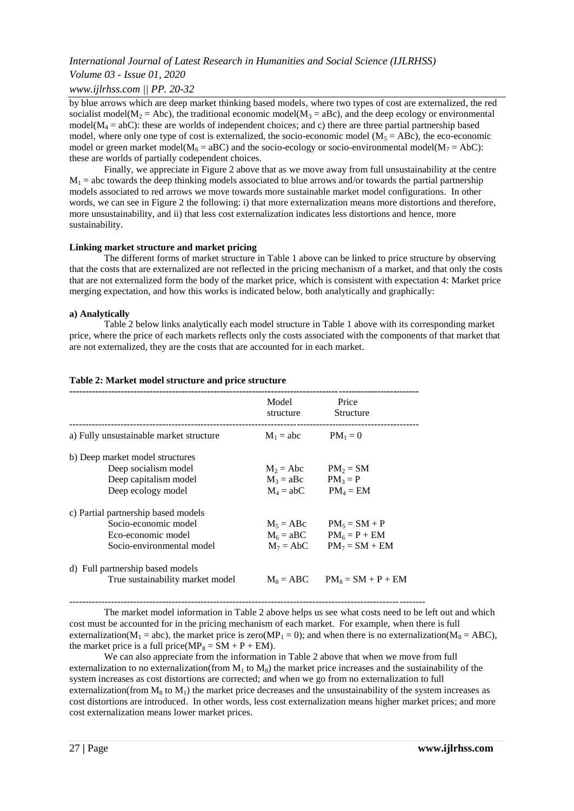## *Volume 03 - Issue 01, 2020*

## *www.ijlrhss.com || PP. 20-32*

by blue arrows which are deep market thinking based models, where two types of cost are externalized, the red socialist model( $M_2$  = Abc), the traditional economic model( $M_3$  = aBc), and the deep ecology or environmental model( $M_4$  = abC): these are worlds of independent choices; and c) there are three partial partnership based model, where only one type of cost is externalized, the socio-economic model ( $M_5 = ABC$ ), the eco-economic model or green market model( $M_6 = aBC$ ) and the socio-ecology or socio-environmental model( $M_7 = A bC$ ): these are worlds of partially codependent choices.

Finally, we appreciate in Figure 2 above that as we move away from full unsustainability at the centre  $M_1$  = abc towards the deep thinking models associated to blue arrows and/or towards the partial partnership models associated to red arrows we move towards more sustainable market model configurations. In other words, we can see in Figure 2 the following: i) that more externalization means more distortions and therefore, more unsustainability, and ii) that less cost externalization indicates less distortions and hence, more sustainability.

#### **Linking market structure and market pricing**

The different forms of market structure in Table 1 above can be linked to price structure by observing that the costs that are externalized are not reflected in the pricing mechanism of a market, and that only the costs that are not externalized form the body of the market price, which is consistent with expectation 4: Market price merging expectation, and how this works is indicated below, both analytically and graphically:

#### **a) Analytically**

Table 2 below links analytically each model structure in Table 1 above with its corresponding market price, where the price of each markets reflects only the costs associated with the components of that market that are not externalized, they are the costs that are accounted for in each market.

| Model<br>structure | Price<br><b>Structure</b> |
|--------------------|---------------------------|
| $M_1 = abc$        | $PM_1 = 0$                |
|                    |                           |
| $M_2 = Abc$        | $PM_2 = SM$               |
| $M_3 = aBc$        | $PM_3 = P$                |
| $M_4 = abC$        | $PM_4 = EM$               |
|                    |                           |
| $M_5 = ABC$        | $PM_5 = SM + P$           |
| $M_6 = aBC$        | $PM_6 = P + EM$           |
| $M_7 = AbC$        | $PM_7 = SM + EM$          |
|                    |                           |
| $M_s = ABC$        | $PM_s = SM + P + EM$      |
|                    |                           |

#### **Table 2: Market model structure and price structure**

--------------------------------------------------------------------------------------------------------------- The market model information in Table 2 above helps us see what costs need to be left out and which cost must be accounted for in the pricing mechanism of each market. For example, when there is full externalization( $M_1$  = abc), the market price is zero( $MP_1$  = 0); and when there is no externalization( $M_8$  = ABC), the market price is a full price( $MP_8 = SM + P + EM$ ).

We can also appreciate from the information in Table 2 above that when we move from full externalization to no externalization(from  $M_1$  to  $M_8$ ) the market price increases and the sustainability of the system increases as cost distortions are corrected; and when we go from no externalization to full externalization(from  $M_8$  to  $M_1$ ) the market price decreases and the unsustainability of the system increases as cost distortions are introduced. In other words, less cost externalization means higher market prices; and more cost externalization means lower market prices.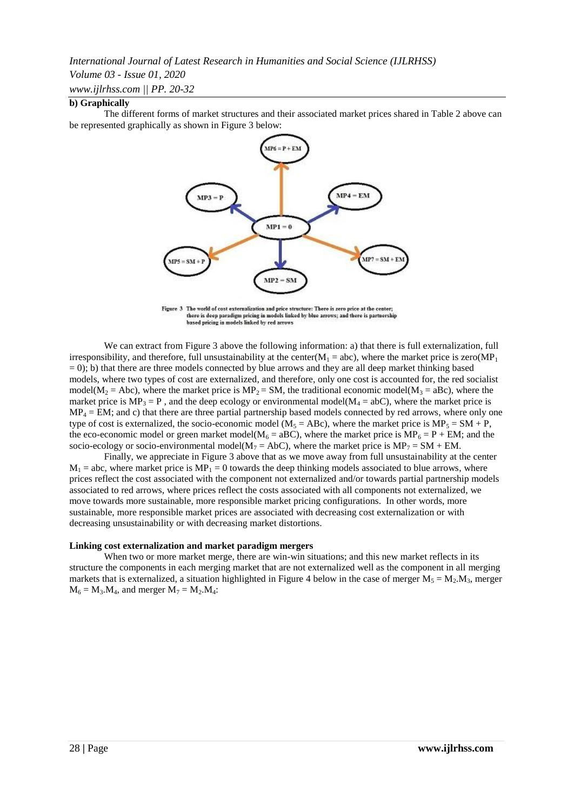### *Volume 03 - Issue 01, 2020*

*www.ijlrhss.com || PP. 20-32*

### **b) Graphically**

The different forms of market structures and their associated market prices shared in Table 2 above can be represented graphically as shown in Figure 3 below:



Figure 3 The world of cost externalization and price structure: There is zero price at the center; there is deep paradigm pricing in models linked by blue arrows; and there is partnership<br>based pricing in models linked by red arrows

We can extract from Figure 3 above the following information: a) that there is full externalization, full irresponsibility, and therefore, full unsustainability at the center( $M_1$  = abc), where the market price is zero( $MP_1$  $= 0$ ); b) that there are three models connected by blue arrows and they are all deep market thinking based models, where two types of cost are externalized, and therefore, only one cost is accounted for, the red socialist model( $M_2$  = Abc), where the market price is  $MP_2$  = SM, the traditional economic model( $M_3$  = aBc), where the market price is  $MP_3 = P$ , and the deep ecology or environmental model( $M_4 = abC$ ), where the market price is  $MP_4 = EM$ ; and c) that there are three partial partnership based models connected by red arrows, where only one type of cost is externalized, the socio-economic model ( $M_5 = ABC$ ), where the market price is  $MP_5 = SM + P$ , the eco-economic model or green market model( $M_6 = aBC$ ), where the market price is  $MP_6 = P + EM$ ; and the socio-ecology or socio-environmental model( $M_7 = AbC$ ), where the market price is  $MP_7 = SM + EM$ .

Finally, we appreciate in Figure 3 above that as we move away from full unsustainability at the center  $M_1$  = abc, where market price is  $MP_1 = 0$  towards the deep thinking models associated to blue arrows, where prices reflect the cost associated with the component not externalized and/or towards partial partnership models associated to red arrows, where prices reflect the costs associated with all components not externalized, we move towards more sustainable, more responsible market pricing configurations. In other words, more sustainable, more responsible market prices are associated with decreasing cost externalization or with decreasing unsustainability or with decreasing market distortions.

#### **Linking cost externalization and market paradigm mergers**

When two or more market merge, there are win-win situations; and this new market reflects in its structure the components in each merging market that are not externalized well as the component in all merging markets that is externalized, a situation highlighted in Figure 4 below in the case of merger  $M_5 = M_2 \cdot M_3$ , merger  $M_6 = M_3.M_4$ , and merger  $M_7 = M_2.M_4$ :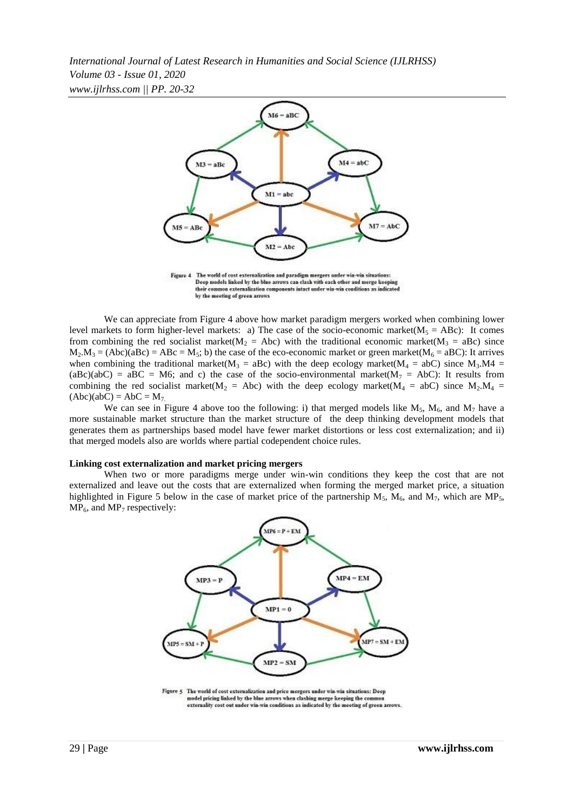

Figure 4 The world of cost externalization and paradigm mergers under win-win situations: Deep models linked by the blue arrows can clash with each other and merge keeping their common externalization components intact under win-win conditions as indicated by the meeting of green arrows

We can appreciate from Figure 4 above how market paradigm mergers worked when combining lower level markets to form higher-level markets: a) The case of the socio-economic market( $M_5 = ABC$ ): It comes from combining the red socialist market( $M_2$  = Abc) with the traditional economic market( $M_3$  = aBc) since  $M_2.M_3 = (Abc)(aBc) = ABC = M_5$ ; b) the case of the eco-economic market or green market( $M_6 = aBC$ ): It arrives when combining the traditional market( $M_3 = aBc$ ) with the deep ecology market( $M_4 = abC$ ) since  $M_3.M4 = a^2C$  $(aBc)(abC) = aBC = M6$ ; and c) the case of the socio-environmental market $(M<sub>7</sub> = AbC)$ : It results from combining the red socialist market( $M_2$  = Abc) with the deep ecology market( $M_4$  = abC) since  $M_2$ . $M_4$  =  $(Abc)(abC) = AbC = M<sub>7</sub>$ 

We can see in Figure 4 above too the following: i) that merged models like  $M_5$ ,  $M_6$ , and  $M_7$  have a more sustainable market structure than the market structure of the deep thinking development models that generates them as partnerships based model have fewer market distortions or less cost externalization; and ii) that merged models also are worlds where partial codependent choice rules.

#### **Linking cost externalization and market pricing mergers**

When two or more paradigms merge under win-win conditions they keep the cost that are not externalized and leave out the costs that are externalized when forming the merged market price, a situation highlighted in Figure 5 below in the case of market price of the partnership  $M_5$ ,  $M_6$ , and  $M_7$ , which are MP<sub>5</sub>,  $MP_6$ , and  $MP_7$  respectively:



Figure 5 The world of cost externalization and price mergers under win-win situations: Deep model pricing linked by the blue arrows when clashing merge keeping the comm externality cost out under win-win conditions as indicated by the meeting of green arrows.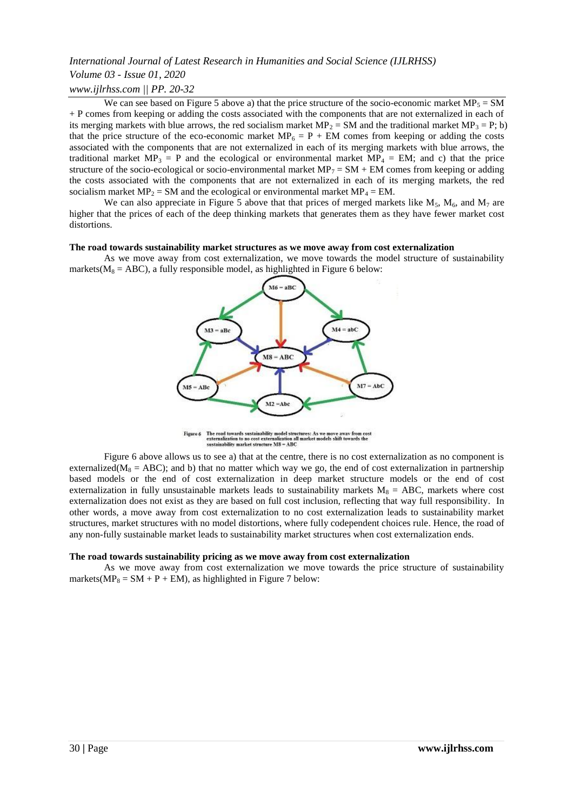We can see based on Figure 5 above a) that the price structure of the socio-economic market  $MP_5 = SM$ + P comes from keeping or adding the costs associated with the components that are not externalized in each of its merging markets with blue arrows, the red socialism market  $MP_2 = SM$  and the traditional market  $MP_3 = P$ ; b) that the price structure of the eco-economic market  $MP_6 = P + EM$  comes from keeping or adding the costs associated with the components that are not externalized in each of its merging markets with blue arrows, the traditional market  $MP_3 = P$  and the ecological or environmental market  $MP_4 = EM$ ; and c) that the price structure of the socio-ecological or socio-environmental market  $MP_7 = SM + EM$  comes from keeping or adding the costs associated with the components that are not externalized in each of its merging markets, the red socialism market  $MP_2 = SM$  and the ecological or environmental market  $MP_4 = EM$ .

We can also appreciate in Figure 5 above that that prices of merged markets like  $M_5$ ,  $M_6$ , and  $M_7$  are higher that the prices of each of the deep thinking markets that generates them as they have fewer market cost distortions.

#### **The road towards sustainability market structures as we move away from cost externalization**

As we move away from cost externalization, we move towards the model structure of sustainability markets( $M_8 = ABC$ ), a fully responsible model, as highlighted in Figure 6 below:



Figure 6 The road towards sustainability model structures: As we move away from cost externalization to no cost externalization all market models shift towards the sustainability market structure M8 = ABC

Figure 6 above allows us to see a) that at the centre, there is no cost externalization as no component is externalized( $M_8 = ABC$ ); and b) that no matter which way we go, the end of cost externalization in partnership based models or the end of cost externalization in deep market structure models or the end of cost externalization in fully unsustainable markets leads to sustainability markets  $M_8 = ABC$ , markets where cost externalization does not exist as they are based on full cost inclusion, reflecting that way full responsibility. In other words, a move away from cost externalization to no cost externalization leads to sustainability market structures, market structures with no model distortions, where fully codependent choices rule. Hence, the road of any non-fully sustainable market leads to sustainability market structures when cost externalization ends.

#### **The road towards sustainability pricing as we move away from cost externalization**

As we move away from cost externalization we move towards the price structure of sustainability markets( $MP_8 = SM + P + EM$ ), as highlighted in Figure 7 below: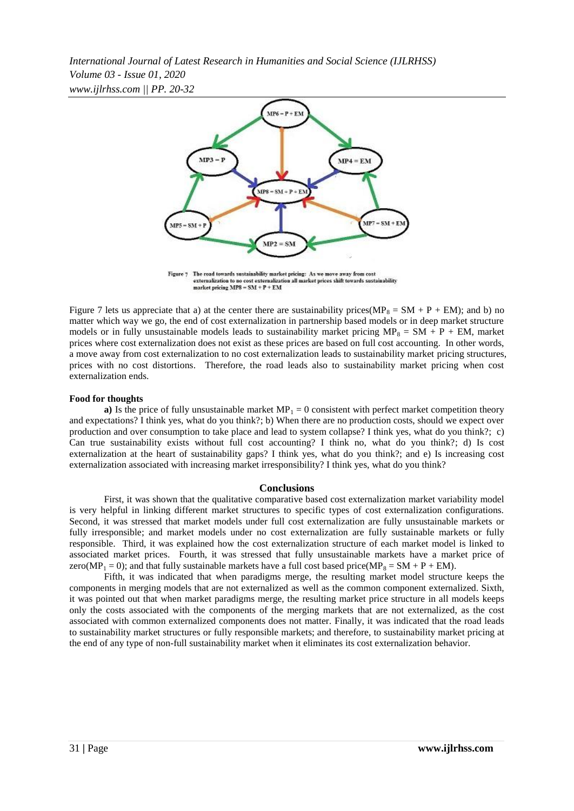

Figure 7 The road towards sustainability market pricing: As we move away from cost externalization to no cost externalization all market prices shift towards sustainability<br>market pricing  $MP8 = SM + P + EM$ 

Figure 7 lets us appreciate that a) at the center there are sustainability prices( $MP_8 = SM + P + EM$ ); and b) no matter which way we go, the end of cost externalization in partnership based models or in deep market structure models or in fully unsustainable models leads to sustainability market pricing  $MP_8 = SM + P + EM$ , market prices where cost externalization does not exist as these prices are based on full cost accounting. In other words, a move away from cost externalization to no cost externalization leads to sustainability market pricing structures, prices with no cost distortions. Therefore, the road leads also to sustainability market pricing when cost externalization ends.

#### **Food for thoughts**

**a)** Is the price of fully unsustainable market  $MP_1 = 0$  consistent with perfect market competition theory and expectations? I think yes, what do you think?; b) When there are no production costs, should we expect over production and over consumption to take place and lead to system collapse? I think yes, what do you think?; c) Can true sustainability exists without full cost accounting? I think no, what do you think?; d) Is cost externalization at the heart of sustainability gaps? I think yes, what do you think?; and e) Is increasing cost externalization associated with increasing market irresponsibility? I think yes, what do you think?

#### **Conclusions**

First, it was shown that the qualitative comparative based cost externalization market variability model is very helpful in linking different market structures to specific types of cost externalization configurations. Second, it was stressed that market models under full cost externalization are fully unsustainable markets or fully irresponsible; and market models under no cost externalization are fully sustainable markets or fully responsible. Third, it was explained how the cost externalization structure of each market model is linked to associated market prices. Fourth, it was stressed that fully unsustainable markets have a market price of zero(MP<sub>1</sub> = 0); and that fully sustainable markets have a full cost based price(MP<sub>8</sub> = SM + P + EM).

Fifth, it was indicated that when paradigms merge, the resulting market model structure keeps the components in merging models that are not externalized as well as the common component externalized. Sixth, it was pointed out that when market paradigms merge, the resulting market price structure in all models keeps only the costs associated with the components of the merging markets that are not externalized, as the cost associated with common externalized components does not matter. Finally, it was indicated that the road leads to sustainability market structures or fully responsible markets; and therefore, to sustainability market pricing at the end of any type of non-full sustainability market when it eliminates its cost externalization behavior.